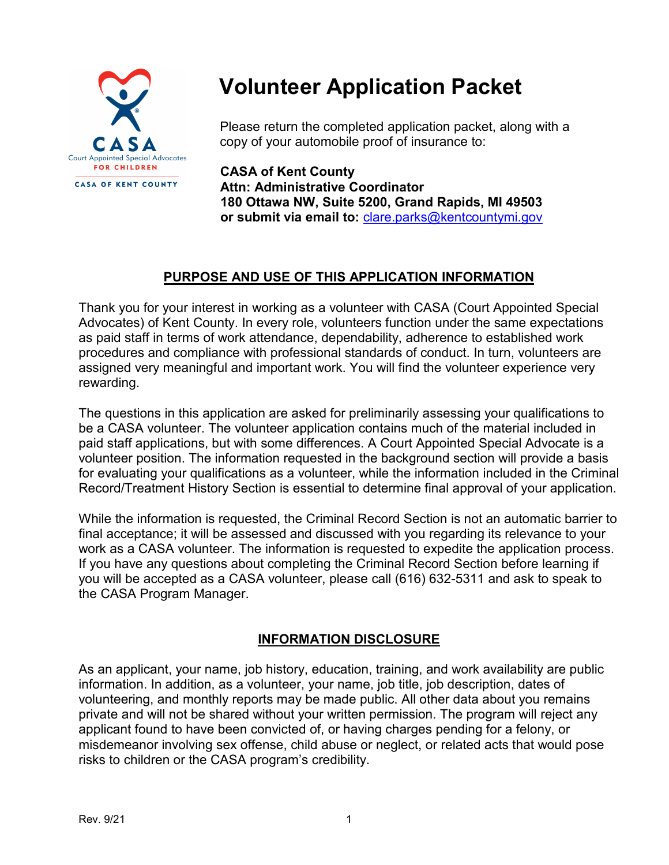

# **Volunteer Application Packet**

Please return the completed application packet, along with a copy of your automobile proof of insurance to:

**CASA of Kent County Attn: Administrative Coordinator 180 Ottawa NW, Suite 5200, Grand Rapids, MI 49503 or submit via email to: [clare.parks@kentcountymi.gov](mailto:clare.parks@kentcountymi.gov)** 

# **PURPOSE AND USE OF THIS APPLICATION INFORMATION**

Thank you for your interest in working as a volunteer with CASA (Court Appointed Special Advocates) of Kent County. In every role, volunteers function under the same expectations as paid staff in terms of work attendance, dependability, adherence to established work procedures and compliance with professional standards of conduct. In turn, volunteers are assigned very meaningful and important work. You will find the volunteer experience very rewarding.

The questions in this application are asked for preliminarily assessing your qualifications to be a CASA volunteer. The volunteer application contains much of the material included in paid staff applications, but with some differences. A Court Appointed Special Advocate is a volunteer position. The information requested in the background section will provide a basis for evaluating your qualifications as a volunteer, while the information included in the Criminal Record/Treatment History Section is essential to determine final approval of your application.

While the information is requested, the Criminal Record Section is not an automatic barrier to final acceptance; it will be assessed and discussed with you regarding its relevance to your work as a CASA volunteer. The information is requested to expedite the application process. If you have any questions about completing the Criminal Record Section before learning if you will be accepted as a CASA volunteer, please call (616) 632-5311 and ask to speak to the CASA Program Manager.

# **INFORMATION DISCLOSURE**

As an applicant, your name, job history, education, training, and work availability are public information. In addition, as a volunteer, your name, job title, job description, dates of volunteering, and monthly reports may be made public. All other data about you remains private and will not be shared without your written permission. The program will reject any applicant found to have been convicted of, or having charges pending for a felony, or misdemeanor involving sex offense, child abuse or neglect, or related acts that would pose risks to children or the CASA program's credibility.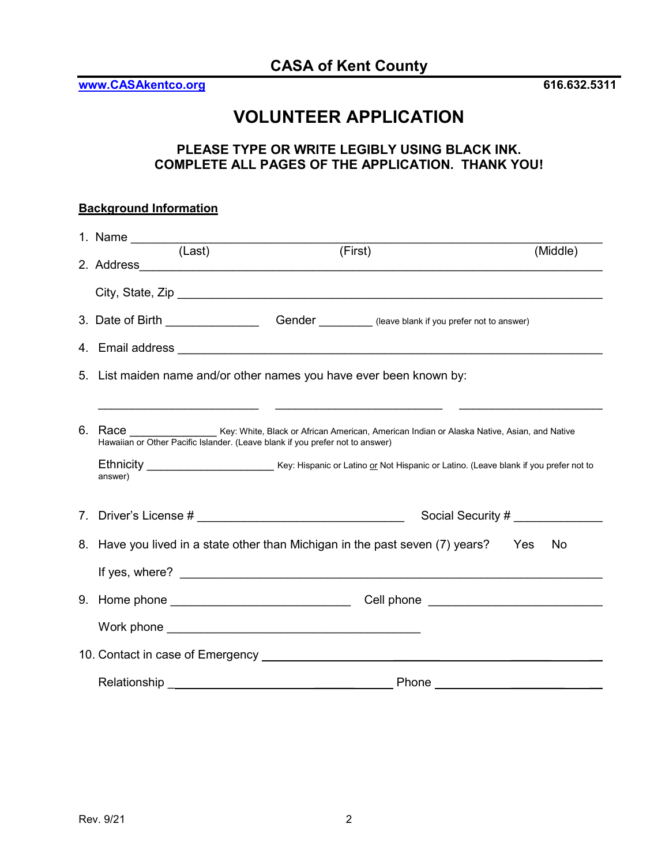**[www.CASAkentco.org](http://www.casakentco.org/) 616.632.5311**

# **VOLUNTEER APPLICATION**

### **PLEASE TYPE OR WRITE LEGIBLY USING BLACK INK. COMPLETE ALL PAGES OF THE APPLICATION. THANK YOU!**

| <b>Background Information</b> |                                                                                                                                                                                                                                |                                                                                                      |                                                                                                                                                                                                                                |  |  |
|-------------------------------|--------------------------------------------------------------------------------------------------------------------------------------------------------------------------------------------------------------------------------|------------------------------------------------------------------------------------------------------|--------------------------------------------------------------------------------------------------------------------------------------------------------------------------------------------------------------------------------|--|--|
|                               | 1. Name (Last)                                                                                                                                                                                                                 | (First)                                                                                              | (Middle)                                                                                                                                                                                                                       |  |  |
|                               |                                                                                                                                                                                                                                |                                                                                                      |                                                                                                                                                                                                                                |  |  |
|                               |                                                                                                                                                                                                                                | 3. Date of Birth ________________________Gender ___________(leave blank if you prefer not to answer) |                                                                                                                                                                                                                                |  |  |
|                               |                                                                                                                                                                                                                                |                                                                                                      |                                                                                                                                                                                                                                |  |  |
|                               | 5. List maiden name and/or other names you have ever been known by:                                                                                                                                                            |                                                                                                      |                                                                                                                                                                                                                                |  |  |
|                               |                                                                                                                                                                                                                                |                                                                                                      |                                                                                                                                                                                                                                |  |  |
|                               | 6. Race<br>Key: White, Black or African American, American Indian or Alaska Native, Asian, and Native<br>Hawaiian or Other Pacific Islander. (Leave blank if you prefer not to answer)                                         |                                                                                                      |                                                                                                                                                                                                                                |  |  |
|                               | answer)                                                                                                                                                                                                                        |                                                                                                      |                                                                                                                                                                                                                                |  |  |
|                               |                                                                                                                                                                                                                                |                                                                                                      |                                                                                                                                                                                                                                |  |  |
|                               |                                                                                                                                                                                                                                |                                                                                                      | Social Security # ______________                                                                                                                                                                                               |  |  |
|                               | 8. Have you lived in a state other than Michigan in the past seven (7) years? Yes<br>No.                                                                                                                                       |                                                                                                      |                                                                                                                                                                                                                                |  |  |
|                               |                                                                                                                                                                                                                                |                                                                                                      |                                                                                                                                                                                                                                |  |  |
|                               |                                                                                                                                                                                                                                |                                                                                                      | Cell phone entitled and the control of the control of the control of the control of the control of the control of the control of the control of the control of the control of the control of the control of the control of the |  |  |
|                               |                                                                                                                                                                                                                                |                                                                                                      |                                                                                                                                                                                                                                |  |  |
|                               |                                                                                                                                                                                                                                |                                                                                                      |                                                                                                                                                                                                                                |  |  |
|                               | Relationship experience and the set of the set of the set of the set of the set of the set of the set of the set of the set of the set of the set of the set of the set of the set of the set of the set of the set of the set |                                                                                                      |                                                                                                                                                                                                                                |  |  |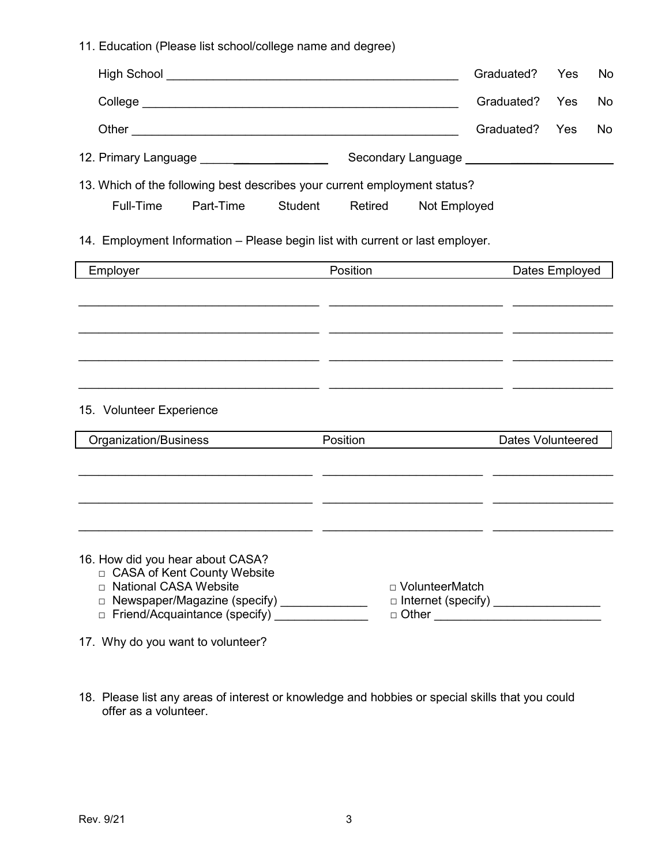11. Education (Please list school/college name and degree)

|                                                                                                                                                                                                |          |                  | Graduated?                                                          | Yes            | No |
|------------------------------------------------------------------------------------------------------------------------------------------------------------------------------------------------|----------|------------------|---------------------------------------------------------------------|----------------|----|
|                                                                                                                                                                                                |          |                  | Graduated?                                                          | Yes            | No |
|                                                                                                                                                                                                |          |                  | Graduated?                                                          | Yes            | No |
| 12. Primary Language <u>________________________________</u>                                                                                                                                   |          |                  | Secondary Language _________________                                |                |    |
| 13. Which of the following best describes your current employment status?                                                                                                                      |          |                  |                                                                     |                |    |
| Full-Time<br>Part-Time<br><b>Student</b>                                                                                                                                                       | Retired  | Not Employed     |                                                                     |                |    |
| 14. Employment Information - Please begin list with current or last employer.                                                                                                                  |          |                  |                                                                     |                |    |
| Employer<br><u> 1980 - Johann Barbara, martin a</u>                                                                                                                                            | Position |                  |                                                                     | Dates Employed |    |
|                                                                                                                                                                                                |          |                  |                                                                     |                |    |
|                                                                                                                                                                                                |          |                  |                                                                     |                |    |
|                                                                                                                                                                                                |          |                  |                                                                     |                |    |
|                                                                                                                                                                                                |          |                  |                                                                     |                |    |
| 15. Volunteer Experience                                                                                                                                                                       |          |                  |                                                                     |                |    |
| Organization/Business                                                                                                                                                                          | Position |                  | <b>Dates Volunteered</b>                                            |                |    |
| <u> 1990 - Jan James James, francuski politik, francuski politik, francuski politik, francuski politik, francuski </u>                                                                         |          |                  |                                                                     |                |    |
|                                                                                                                                                                                                |          |                  |                                                                     |                |    |
|                                                                                                                                                                                                |          |                  |                                                                     |                |    |
| 16. How did you hear about CASA?<br>□ CASA of Kent County Website<br>□ National CASA Website<br>□ Newspaper/Magazine (specify) _____________<br>□ Friend/Acquaintance (specify) ______________ |          | □ VolunteerMatch | $\Box$ Internet (specify) __________________<br>$\Box$ Other $\Box$ |                |    |
| 17. Why do you want to volunteer?                                                                                                                                                              |          |                  |                                                                     |                |    |

18. Please list any areas of interest or knowledge and hobbies or special skills that you could offer as a volunteer.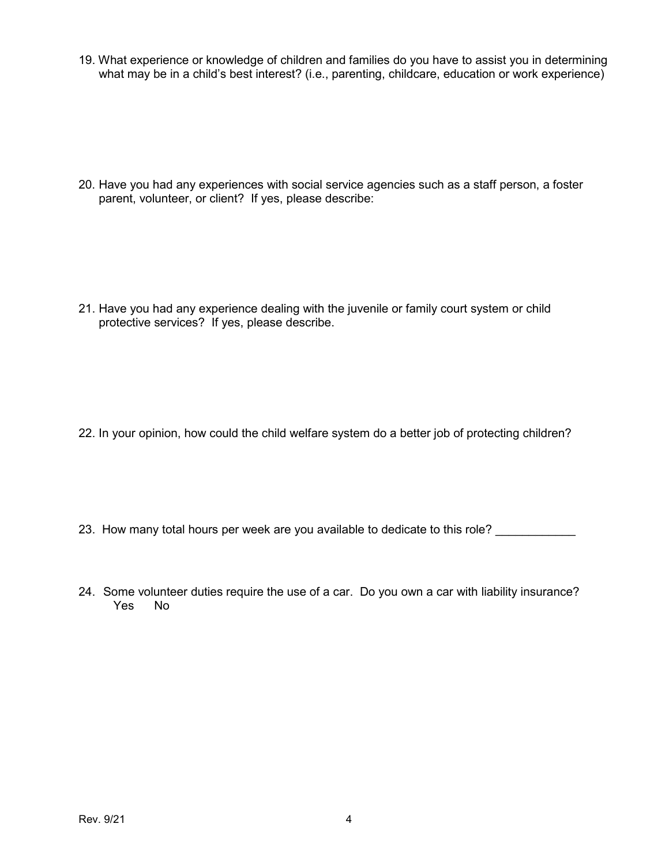19. What experience or knowledge of children and families do you have to assist you in determining what may be in a child's best interest? (i.e., parenting, childcare, education or work experience)

20. Have you had any experiences with social service agencies such as a staff person, a foster parent, volunteer, or client? If yes, please describe:

21. Have you had any experience dealing with the juvenile or family court system or child protective services? If yes, please describe.

- 22. In your opinion, how could the child welfare system do a better job of protecting children?
- 23. How many total hours per week are you available to dedicate to this role?
- 24. Some volunteer duties require the use of a car. Do you own a car with liability insurance?<br>Yes No Yes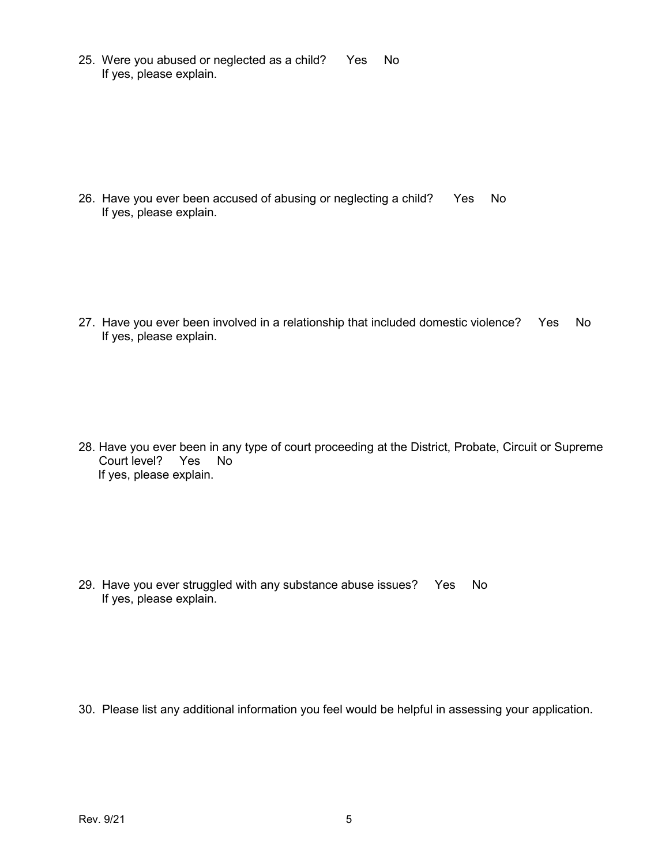25. Were you abused or neglected as a child? Yes No If yes, please explain.

26. Have you ever been accused of abusing or neglecting a child? Yes No If yes, please explain.

27. Have you ever been involved in a relationship that included domestic violence? Yes No If yes, please explain.

28. Have you ever been in any type of court proceeding at the District, Probate, Circuit or Supreme Court level? Yes No If yes, please explain.

29. Have you ever struggled with any substance abuse issues? Yes No If yes, please explain.

30. Please list any additional information you feel would be helpful in assessing your application.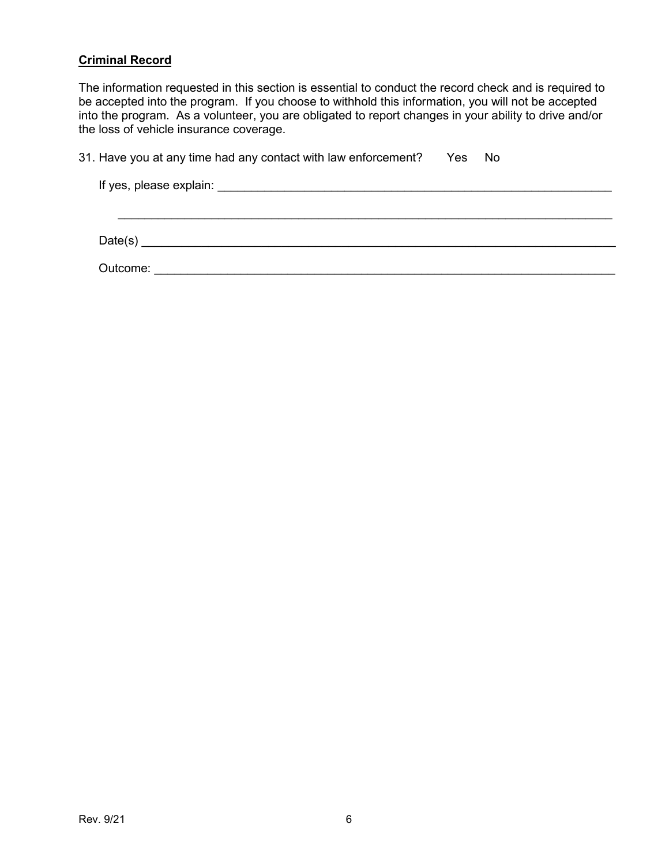#### **Criminal Record**

The information requested in this section is essential to conduct the record check and is required to be accepted into the program. If you choose to withhold this information, you will not be accepted into the program. As a volunteer, you are obligated to report changes in your ability to drive and/or the loss of vehicle insurance coverage.

| 31. Have you at any time had any contact with law enforcement?        Yes     No |  |  |
|----------------------------------------------------------------------------------|--|--|
|----------------------------------------------------------------------------------|--|--|

| Date(s)  |  |  |  |  |  |
|----------|--|--|--|--|--|
| Outcome: |  |  |  |  |  |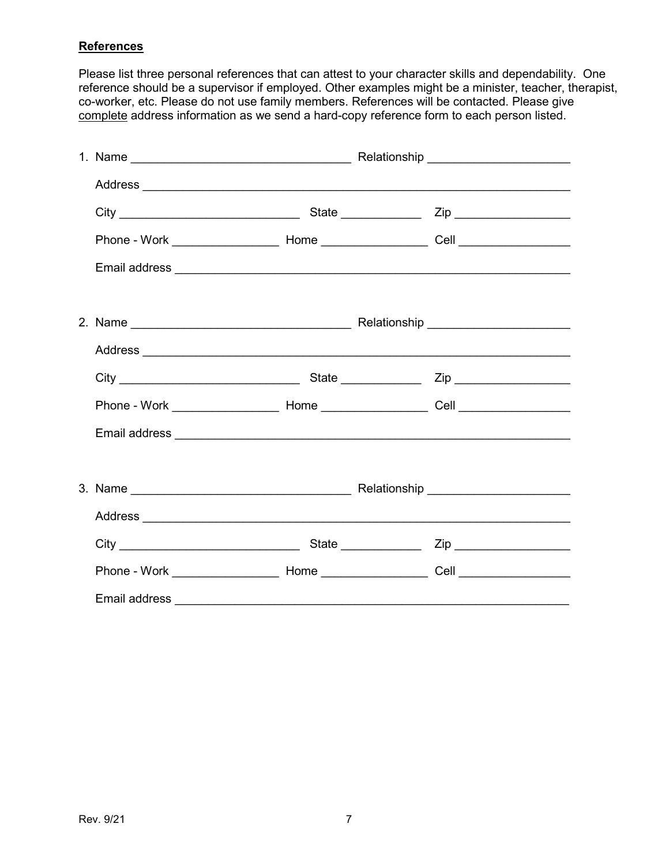#### **References**

Please list three personal references that can attest to your character skills and dependability. One reference should be a supervisor if employed. Other examples might be a minister, teacher, therapist, co-worker, etc. Please do not use family members. References will be contacted. Please give complete address information as we send a hard-copy reference form to each person listed.